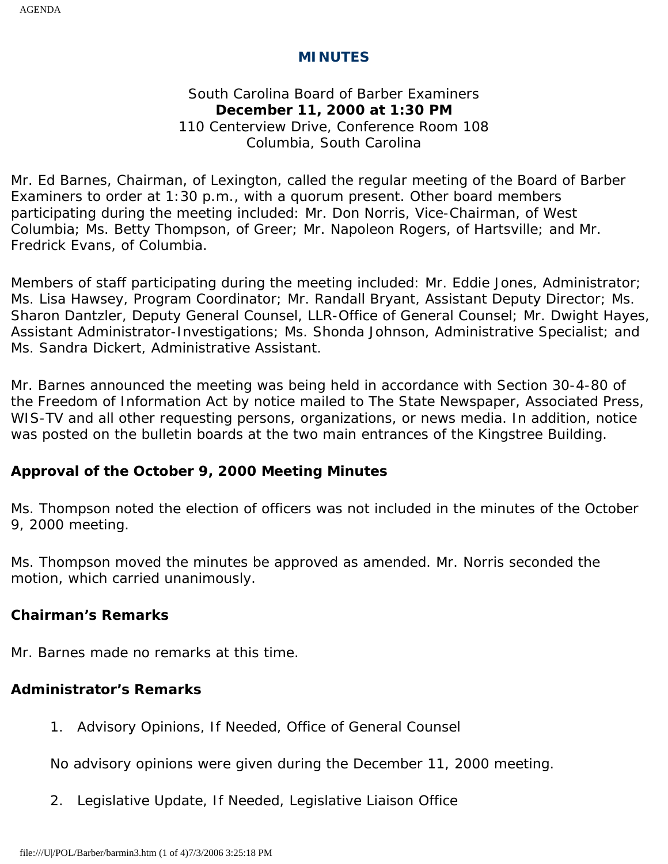# **MINUTES**

# South Carolina Board of Barber Examiners **December 11, 2000 at 1:30 PM** 110 Centerview Drive, Conference Room 108 Columbia, South Carolina

Mr. Ed Barnes, Chairman, of Lexington, called the regular meeting of the Board of Barber Examiners to order at 1:30 p.m., with a quorum present. Other board members participating during the meeting included: Mr. Don Norris, Vice-Chairman, of West Columbia; Ms. Betty Thompson, of Greer; Mr. Napoleon Rogers, of Hartsville; and Mr. Fredrick Evans, of Columbia.

Members of staff participating during the meeting included: Mr. Eddie Jones, Administrator; Ms. Lisa Hawsey, Program Coordinator; Mr. Randall Bryant, Assistant Deputy Director; Ms. Sharon Dantzler, Deputy General Counsel, LLR-Office of General Counsel; Mr. Dwight Hayes, Assistant Administrator-Investigations; Ms. Shonda Johnson, Administrative Specialist; and Ms. Sandra Dickert, Administrative Assistant.

Mr. Barnes announced the meeting was being held in accordance with Section 30-4-80 of the Freedom of Information Act by notice mailed to The State Newspaper, Associated Press, WIS-TV and all other requesting persons, organizations, or news media. In addition, notice was posted on the bulletin boards at the two main entrances of the Kingstree Building.

# **Approval of the October 9, 2000 Meeting Minutes**

Ms. Thompson noted the election of officers was not included in the minutes of the October 9, 2000 meeting.

Ms. Thompson moved the minutes be approved as amended. Mr. Norris seconded the motion, which carried unanimously.

## **Chairman's Remarks**

Mr. Barnes made no remarks at this time.

# **Administrator's Remarks**

1. Advisory Opinions, If Needed, Office of General Counsel

No advisory opinions were given during the December 11, 2000 meeting.

2. Legislative Update, If Needed, Legislative Liaison Office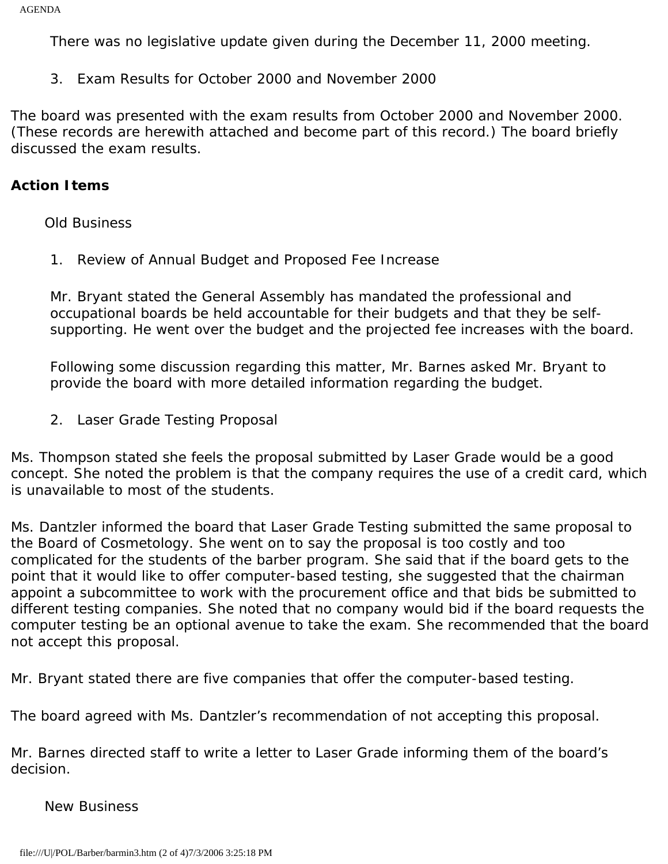There was no legislative update given during the December 11, 2000 meeting.

3. Exam Results for October 2000 and November 2000

The board was presented with the exam results from October 2000 and November 2000. (These records are herewith attached and become part of this record.) The board briefly discussed the exam results.

#### **Action Items**

Old Business

1. Review of Annual Budget and Proposed Fee Increase

Mr. Bryant stated the General Assembly has mandated the professional and occupational boards be held accountable for their budgets and that they be selfsupporting. He went over the budget and the projected fee increases with the board.

Following some discussion regarding this matter, Mr. Barnes asked Mr. Bryant to provide the board with more detailed information regarding the budget.

2. Laser Grade Testing Proposal

Ms. Thompson stated she feels the proposal submitted by Laser Grade would be a good concept. She noted the problem is that the company requires the use of a credit card, which is unavailable to most of the students.

Ms. Dantzler informed the board that Laser Grade Testing submitted the same proposal to the Board of Cosmetology. She went on to say the proposal is too costly and too complicated for the students of the barber program. She said that if the board gets to the point that it would like to offer computer-based testing, she suggested that the chairman appoint a subcommittee to work with the procurement office and that bids be submitted to different testing companies. She noted that no company would bid if the board requests the computer testing be an optional avenue to take the exam. She recommended that the board not accept this proposal.

Mr. Bryant stated there are five companies that offer the computer-based testing.

The board agreed with Ms. Dantzler's recommendation of not accepting this proposal.

Mr. Barnes directed staff to write a letter to Laser Grade informing them of the board's decision.

New Business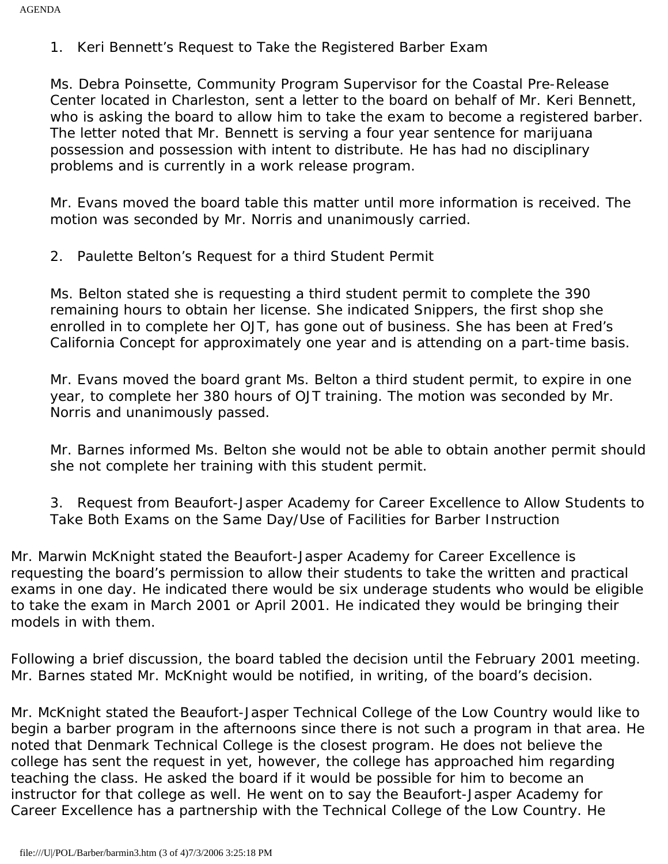1. Keri Bennett's Request to Take the Registered Barber Exam

Ms. Debra Poinsette, Community Program Supervisor for the Coastal Pre-Release Center located in Charleston, sent a letter to the board on behalf of Mr. Keri Bennett, who is asking the board to allow him to take the exam to become a registered barber. The letter noted that Mr. Bennett is serving a four year sentence for marijuana possession and possession with intent to distribute. He has had no disciplinary problems and is currently in a work release program.

Mr. Evans moved the board table this matter until more information is received. The motion was seconded by Mr. Norris and unanimously carried.

2. Paulette Belton's Request for a third Student Permit

Ms. Belton stated she is requesting a third student permit to complete the 390 remaining hours to obtain her license. She indicated Snippers, the first shop she enrolled in to complete her OJT, has gone out of business. She has been at Fred's California Concept for approximately one year and is attending on a part-time basis.

Mr. Evans moved the board grant Ms. Belton a third student permit, to expire in one year, to complete her 380 hours of OJT training. The motion was seconded by Mr. Norris and unanimously passed.

Mr. Barnes informed Ms. Belton she would not be able to obtain another permit should she not complete her training with this student permit.

3. Request from Beaufort-Jasper Academy for Career Excellence to Allow Students to Take Both Exams on the Same Day/Use of Facilities for Barber Instruction

Mr. Marwin McKnight stated the Beaufort-Jasper Academy for Career Excellence is requesting the board's permission to allow their students to take the written and practical exams in one day. He indicated there would be six underage students who would be eligible to take the exam in March 2001 or April 2001. He indicated they would be bringing their models in with them.

Following a brief discussion, the board tabled the decision until the February 2001 meeting. Mr. Barnes stated Mr. McKnight would be notified, in writing, of the board's decision.

Mr. McKnight stated the Beaufort-Jasper Technical College of the Low Country would like to begin a barber program in the afternoons since there is not such a program in that area. He noted that Denmark Technical College is the closest program. He does not believe the college has sent the request in yet, however, the college has approached him regarding teaching the class. He asked the board if it would be possible for him to become an instructor for that college as well. He went on to say the Beaufort-Jasper Academy for Career Excellence has a partnership with the Technical College of the Low Country. He